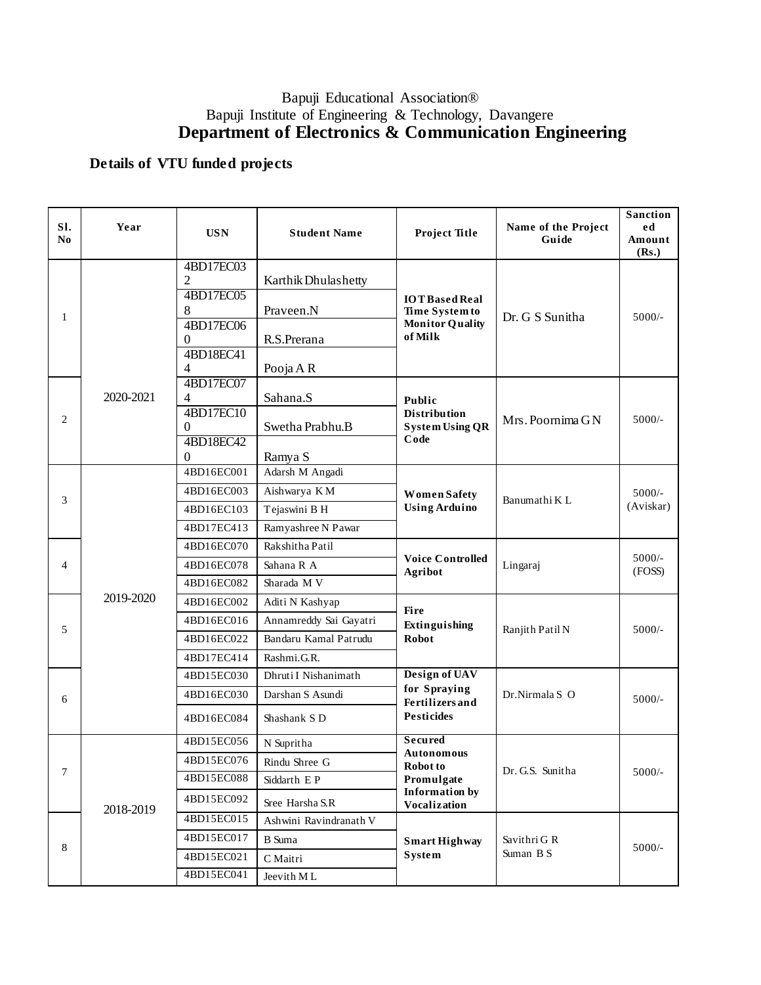## Bapuji Educational Association® Bapuji Institute of Engineering & Technology, Davangere **Department of Electronics & Communication Engineering**

## **Details of VTU funded projects**

| SI.<br>N <sub>0</sub> | Year      | <b>USN</b>                                                                               | <b>Student Name</b>                                                               | <b>Project Title</b>                                                                                   | Name of the Project<br>Guide | <b>Sanction</b><br>ed<br>Amount<br>(Rs.) |
|-----------------------|-----------|------------------------------------------------------------------------------------------|-----------------------------------------------------------------------------------|--------------------------------------------------------------------------------------------------------|------------------------------|------------------------------------------|
| 1                     |           | 4BD17EC03<br>$\overline{2}$<br>4BD17EC05<br>8<br>4BD17EC06<br>$\Omega$<br>4BD18EC41<br>4 | Karthik Dhulashetty<br>Praveen.N<br>R.S.Prerana<br>Pooja A R                      | <b>IOTBased Real</b><br>Time System to<br><b>Monitor Quality</b><br>of Milk                            | Dr. G S Sunitha              | $5000/-$                                 |
| 2                     | 2020-2021 | 4BD17EC07<br>4<br>4BD17EC10<br>$\Omega$<br>4BD18EC42<br>$\theta$                         | Sahana.S<br>Swetha Prabhu.B<br>Ramya S                                            | Public<br><b>Distribution</b><br><b>System Using QR</b><br>Code                                        | Mrs. Poornima GN             | $5000/-$                                 |
| 3                     |           | 4BD16EC001<br>4BD16EC003<br>4BD16EC103<br>4BD17EC413                                     | Adarsh M Angadi<br>Aishwarya KM<br>Tejaswini B H<br>Ramyashree N Pawar            | <b>Women Safety</b><br><b>Using Arduino</b>                                                            | Banumathi K L                | $5000/-$<br>(Aviskar)                    |
| 4                     |           | 4BD16EC070<br>4BD16EC078<br>4BD16EC082                                                   | Rakshitha Patil<br>Sahana R A<br>Sharada M V                                      | <b>Voice Controlled</b><br>Agribot                                                                     | Lingaraj                     | $5000/-$<br>(FOSS)                       |
| 5                     | 2019-2020 | 4BD16EC002<br>4BD16EC016<br>4BD16EC022<br>4BD17EC414                                     | Aditi N Kashyap<br>Annamreddy Sai Gayatri<br>Bandaru Kamal Patrudu<br>Rashmi.G.R. | <b>Fire</b><br>Extinguishing<br><b>Robot</b>                                                           | Ranjith Patil N              | $5000/-$                                 |
| 6                     |           | 4BD15EC030<br>4BD16EC030<br>4BD16EC084                                                   | Dhruti I Nishanimath<br>Darshan S Asundi<br>Shashank S D                          | Design of UAV<br>for Spraying<br><b>Fertilizers</b> and<br><b>Pesticides</b>                           | Dr.Nirmala S O               | $5000/-$                                 |
| 7                     | 2018-2019 | 4BD15EC056<br>4BD15EC076<br>4BD15EC088<br>4BD15EC092                                     | N Supritha<br>Rindu Shree G<br>Siddarth E P<br>Sree Harsha S.R                    | <b>Secured</b><br><b>Autonomous</b><br>Robot to<br>Promulgate<br><b>Information by</b><br>Vocalization | Dr. G.S. Sunitha             | $5000/-$                                 |
| 8                     |           | 4BD15EC015<br>4BD15EC017<br>4BD15EC021<br>4BD15EC041                                     | Ashwini Ravindranath V<br><b>B</b> Suma<br>C Maitri<br>Jeevith ML                 | <b>Smart Highway</b><br>System                                                                         | Savithri G R<br>Suman B S    | $5000/-$                                 |